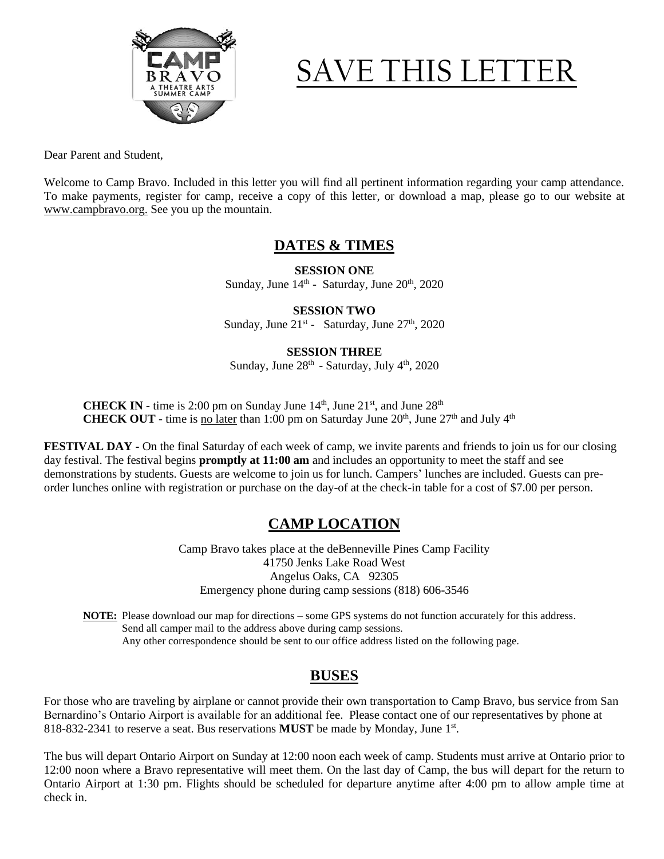

# SAVE THIS LETT

Dear Parent and Student,

Welcome to Camp Bravo. Included in this letter you will find all pertinent information regarding your camp attendance. To make payments, register for camp, receive a copy of this letter, or download a map, please go to our website at www.campbravo.org. See you up the mountain.

## **DATES & TIMES**

**SESSION ONE** Sunday, June  $14<sup>th</sup>$  - Saturday, June  $20<sup>th</sup>$ ,  $2020$ 

**SESSION TWO** Sunday, June 21<sup>st</sup> - Saturday, June 27<sup>th</sup>, 2020

### **SESSION THREE**

Sunday, June  $28<sup>th</sup>$  - Saturday, July  $4<sup>th</sup>$ , 2020

**CHECK IN -** time is 2:00 pm on Sunday June  $14<sup>th</sup>$ , June  $21<sup>st</sup>$ , and June  $28<sup>th</sup>$ **CHECK OUT** - time is <u>no later</u> than 1:00 pm on Saturday June  $20<sup>th</sup>$ , June  $27<sup>th</sup>$  and July  $4<sup>th</sup>$ 

**FESTIVAL DAY** - On the final Saturday of each week of camp, we invite parents and friends to join us for our closing day festival. The festival begins **promptly at 11:00 am** and includes an opportunity to meet the staff and see demonstrations by students. Guests are welcome to join us for lunch. Campers' lunches are included. Guests can preorder lunches online with registration or purchase on the day-of at the check-in table for a cost of \$7.00 per person.

# **CAMP LOCATION**

Camp Bravo takes place at the deBenneville Pines Camp Facility 41750 Jenks Lake Road West Angelus Oaks, CA 92305 Emergency phone during camp sessions (818) 606-3546

**NOTE:** Please download our map for directions – some GPS systems do not function accurately for this address. Send all camper mail to the address above during camp sessions. Any other correspondence should be sent to our office address listed on the following page.

# **BUSES**

For those who are traveling by airplane or cannot provide their own transportation to Camp Bravo, bus service from San Bernardino's Ontario Airport is available for an additional fee. Please contact one of our representatives by phone at 818-832-2341 to reserve a seat. Bus reservations **MUST** be made by Monday, June 1<sup>st</sup>.

The bus will depart Ontario Airport on Sunday at 12:00 noon each week of camp. Students must arrive at Ontario prior to 12:00 noon where a Bravo representative will meet them. On the last day of Camp, the bus will depart for the return to Ontario Airport at 1:30 pm. Flights should be scheduled for departure anytime after 4:00 pm to allow ample time at check in.